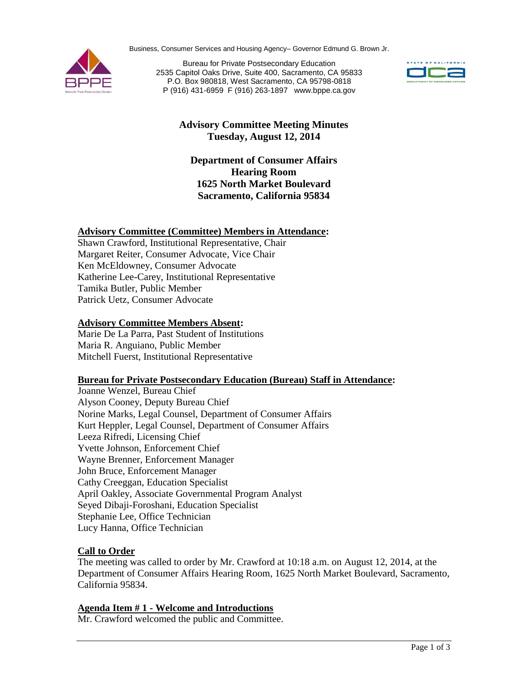Business, Consumer Services and Housing Agency– Governor Edmund G. Brown Jr.



Bureau for Private Postsecondary Education 2535 Capitol Oaks Drive, Suite 400, Sacramento, CA 95833 P.O. Box 980818, West Sacramento, CA 95798-0818 P (916) 431-6959 F (916) 263-1897 www.bppe.ca.gov



# **Advisory Committee Meeting Minutes Tuesday, August 12, 2014**

### **Department of Consumer Affairs Hearing Room 1625 North Market Boulevard Sacramento, California 95834**

#### **Advisory Committee (Committee) Members in Attendance:**

Shawn Crawford, Institutional Representative, Chair Margaret Reiter, Consumer Advocate, Vice Chair Ken McEldowney, Consumer Advocate Katherine Lee-Carey, Institutional Representative Tamika Butler, Public Member Patrick Uetz, Consumer Advocate

#### **Advisory Committee Members Absent:**

Marie De La Parra, Past Student of Institutions Maria R. Anguiano, Public Member Mitchell Fuerst, Institutional Representative

#### **Bureau for Private Postsecondary Education (Bureau) Staff in Attendance:**

Joanne Wenzel, Bureau Chief Alyson Cooney, Deputy Bureau Chief Norine Marks, Legal Counsel, Department of Consumer Affairs Kurt Heppler, Legal Counsel, Department of Consumer Affairs Leeza Rifredi, Licensing Chief Yvette Johnson, Enforcement Chief Wayne Brenner, Enforcement Manager John Bruce, Enforcement Manager Cathy Creeggan, Education Specialist April Oakley, Associate Governmental Program Analyst Seyed Dibaji-Foroshani, Education Specialist Stephanie Lee, Office Technician Lucy Hanna, Office Technician

# **Call to Order**

The meeting was called to order by Mr. Crawford at 10:18 a.m. on August 12, 2014, at the Department of Consumer Affairs Hearing Room, 1625 North Market Boulevard, Sacramento, California 95834.

#### **Agenda Item # 1 - Welcome and Introductions**

Mr. Crawford welcomed the public and Committee.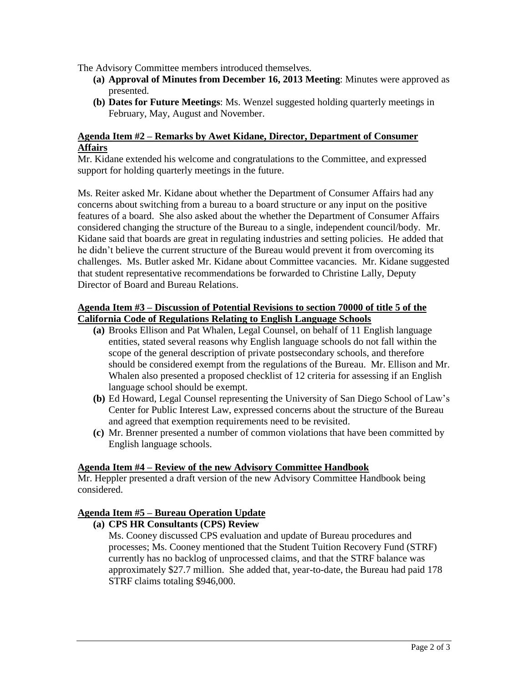The Advisory Committee members introduced themselves.

- **(a) Approval of Minutes from December 16, 2013 Meeting**: Minutes were approved as presented.
- **(b) Dates for Future Meetings**: Ms. Wenzel suggested holding quarterly meetings in February, May, August and November.

#### **Agenda Item #2 – Remarks by Awet Kidane, Director, Department of Consumer Affairs**

Mr. Kidane extended his welcome and congratulations to the Committee, and expressed support for holding quarterly meetings in the future.

Ms. Reiter asked Mr. Kidane about whether the Department of Consumer Affairs had any concerns about switching from a bureau to a board structure or any input on the positive features of a board. She also asked about the whether the Department of Consumer Affairs considered changing the structure of the Bureau to a single, independent council/body. Mr. Kidane said that boards are great in regulating industries and setting policies. He added that he didn't believe the current structure of the Bureau would prevent it from overcoming its challenges. Ms. Butler asked Mr. Kidane about Committee vacancies. Mr. Kidane suggested that student representative recommendations be forwarded to Christine Lally, Deputy Director of Board and Bureau Relations.

#### **Agenda Item #3 – Discussion of Potential Revisions to section 70000 of title 5 of the California Code of Regulations Relating to English Language Schools**

- **(a)** Brooks Ellison and Pat Whalen, Legal Counsel, on behalf of 11 English language entities, stated several reasons why English language schools do not fall within the scope of the general description of private postsecondary schools, and therefore should be considered exempt from the regulations of the Bureau. Mr. Ellison and Mr. Whalen also presented a proposed checklist of 12 criteria for assessing if an English language school should be exempt.
- **(b)** Ed Howard, Legal Counsel representing the University of San Diego School of Law's Center for Public Interest Law, expressed concerns about the structure of the Bureau and agreed that exemption requirements need to be revisited.
- **(c)** Mr. Brenner presented a number of common violations that have been committed by English language schools.

# **Agenda Item #4 – Review of the new Advisory Committee Handbook**

Mr. Heppler presented a draft version of the new Advisory Committee Handbook being considered.

# **Agenda Item #5 – Bureau Operation Update**

**(a) CPS HR Consultants (CPS) Review**

Ms. Cooney discussed CPS evaluation and update of Bureau procedures and processes; Ms. Cooney mentioned that the Student Tuition Recovery Fund (STRF) currently has no backlog of unprocessed claims, and that the STRF balance was approximately \$27.7 million. She added that, year-to-date, the Bureau had paid 178 STRF claims totaling \$946,000.